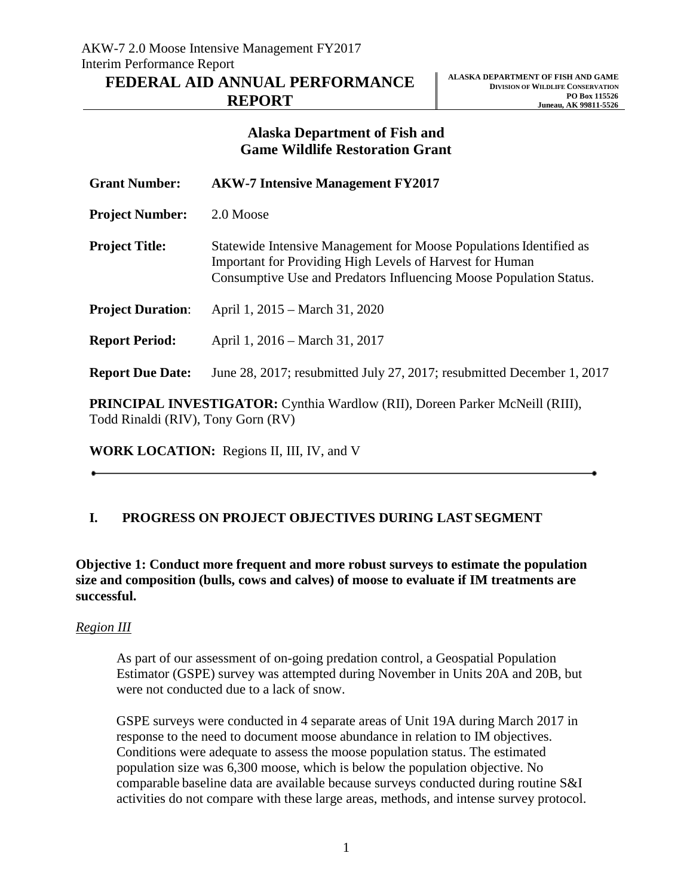# **REPORT**

# **Alaska Department of Fish and Game Wildlife Restoration Grant**

| <b>Grant Number:</b>     | <b>AKW-7 Intensive Management FY2017</b>                                                                                                                                                                    |
|--------------------------|-------------------------------------------------------------------------------------------------------------------------------------------------------------------------------------------------------------|
| <b>Project Number:</b>   | 2.0 Moose                                                                                                                                                                                                   |
| <b>Project Title:</b>    | Statewide Intensive Management for Moose Populations Identified as<br><b>Important for Providing High Levels of Harvest for Human</b><br>Consumptive Use and Predators Influencing Moose Population Status. |
| <b>Project Duration:</b> | April 1, 2015 – March 31, 2020                                                                                                                                                                              |
| <b>Report Period:</b>    | April 1, 2016 – March 31, 2017                                                                                                                                                                              |
| <b>Report Due Date:</b>  | June 28, 2017; resubmitted July 27, 2017; resubmitted December 1, 2017                                                                                                                                      |
|                          |                                                                                                                                                                                                             |

**PRINCIPAL INVESTIGATOR:** Cynthia Wardlow (RII), Doreen Parker McNeill (RIII), Todd Rinaldi (RIV), Tony Gorn (RV)

**WORK LOCATION:** Regions II, III, IV, and V

# **I. PROGRESS ON PROJECT OBJECTIVES DURING LASTSEGMENT**

**Objective 1: Conduct more frequent and more robust surveys to estimate the population size and composition (bulls, cows and calves) of moose to evaluate if IM treatments are successful.**

## *Region III*

As part of our assessment of on-going predation control, a Geospatial Population Estimator (GSPE) survey was attempted during November in Units 20A and 20B, but were not conducted due to a lack of snow.

GSPE surveys were conducted in 4 separate areas of Unit 19A during March 2017 in response to the need to document moose abundance in relation to IM objectives. Conditions were adequate to assess the moose population status. The estimated population size was 6,300 moose, which is below the population objective. No comparable baseline data are available because surveys conducted during routine S&I activities do not compare with these large areas, methods, and intense survey protocol.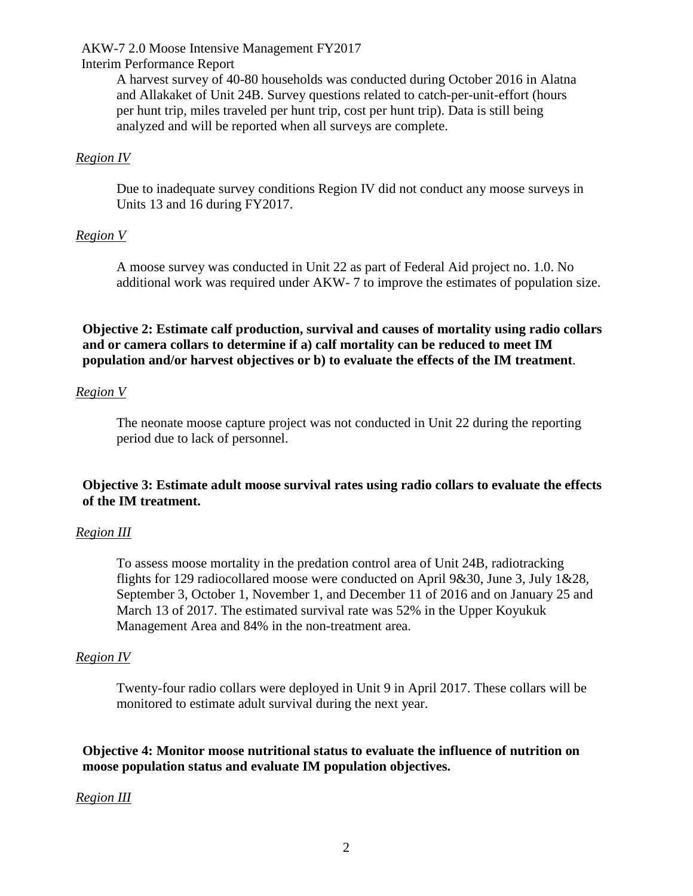#### AKW-7 2.0 Moose Intensive Management FY2017

#### Interim Performance Report

A harvest survey of 40-80 households was conducted during October 2016 in Alatna and Allakaket of Unit 24B. Survey questions related to catch-per-unit-effort (hours per hunt trip, miles traveled per hunt trip, cost per hunt trip). Data is still being analyzed and will be reported when all surveys are complete.

#### *Region IV*

Due to inadequate survey conditions Region IV did not conduct any moose surveys in Units 13 and 16 during FY2017.

#### *Region V*

A moose survey was conducted in Unit 22 as part of Federal Aid project no. 1.0. No additional work was required under AKW- 7 to improve the estimates of population size.

**Objective 2: Estimate calf production, survival and causes of mortality using radio collars and or camera collars to determine if a) calf mortality can be reduced to meet IM population and/or harvest objectives or b) to evaluate the effects of the IM treatment**.

#### *Region V*

The neonate moose capture project was not conducted in Unit 22 during the reporting period due to lack of personnel.

## **Objective 3: Estimate adult moose survival rates using radio collars to evaluate the effects of the IM treatment.**

#### *Region III*

To assess moose mortality in the predation control area of Unit 24B, radiotracking flights for 129 radiocollared moose were conducted on April 9&30, June 3, July 1&28, September 3, October 1, November 1, and December 11 of 2016 and on January 25 and March 13 of 2017. The estimated survival rate was 52% in the Upper Koyukuk Management Area and 84% in the non-treatment area.

#### *Region IV*

Twenty-four radio collars were deployed in Unit 9 in April 2017. These collars will be monitored to estimate adult survival during the next year.

**Objective 4: Monitor moose nutritional status to evaluate the influence of nutrition on moose population status and evaluate IM population objectives.**

#### *Region III*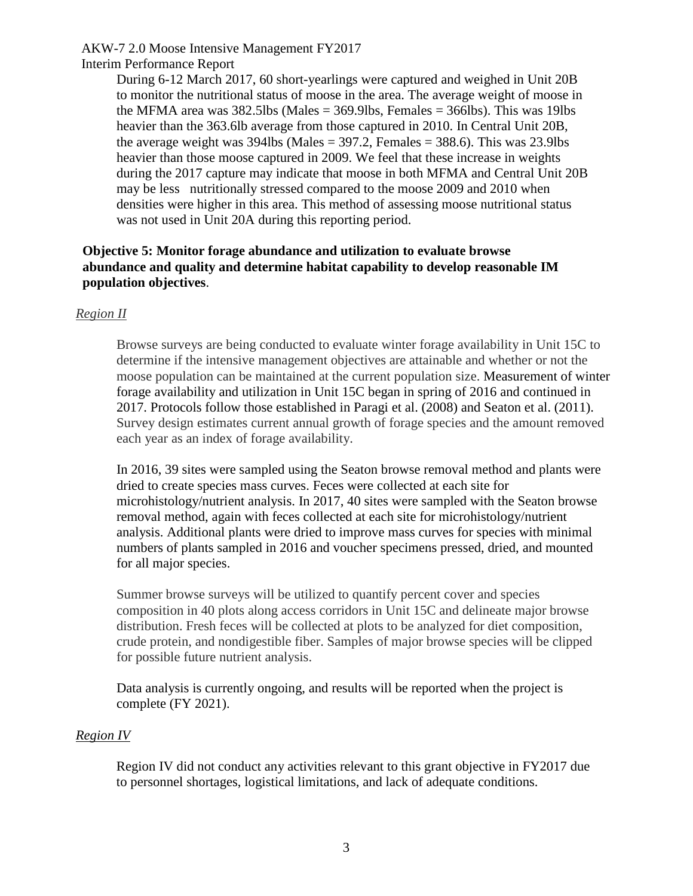## AKW-7 2.0 Moose Intensive Management FY2017

#### Interim Performance Report

During 6-12 March 2017, 60 short-yearlings were captured and weighed in Unit 20B to monitor the nutritional status of moose in the area. The average weight of moose in the MFMA area was  $382.5$ lbs (Males =  $369.9$ lbs, Females =  $366$ lbs). This was 19lbs heavier than the 363.6lb average from those captured in 2010. In Central Unit 20B, the average weight was  $394$ lbs (Males =  $397.2$ , Females =  $388.6$ ). This was 23.9lbs heavier than those moose captured in 2009. We feel that these increase in weights during the 2017 capture may indicate that moose in both MFMA and Central Unit 20B may be less nutritionally stressed compared to the moose 2009 and 2010 when densities were higher in this area. This method of assessing moose nutritional status was not used in Unit 20A during this reporting period.

## **Objective 5: Monitor forage abundance and utilization to evaluate browse abundance and quality and determine habitat capability to develop reasonable IM population objectives**.

## *Region II*

Browse surveys are being conducted to evaluate winter forage availability in Unit 15C to determine if the intensive management objectives are attainable and whether or not the moose population can be maintained at the current population size. Measurement of winter forage availability and utilization in Unit 15C began in spring of 2016 and continued in 2017. Protocols follow those established in Paragi et al. (2008) and Seaton et al. (2011). Survey design estimates current annual growth of forage species and the amount removed each year as an index of forage availability.

In 2016, 39 sites were sampled using the Seaton browse removal method and plants were dried to create species mass curves. Feces were collected at each site for microhistology/nutrient analysis. In 2017, 40 sites were sampled with the Seaton browse removal method, again with feces collected at each site for microhistology/nutrient analysis. Additional plants were dried to improve mass curves for species with minimal numbers of plants sampled in 2016 and voucher specimens pressed, dried, and mounted for all major species.

Summer browse surveys will be utilized to quantify percent cover and species composition in 40 plots along access corridors in Unit 15C and delineate major browse distribution. Fresh feces will be collected at plots to be analyzed for diet composition, crude protein, and nondigestible fiber. Samples of major browse species will be clipped for possible future nutrient analysis.

Data analysis is currently ongoing, and results will be reported when the project is complete (FY 2021).

## *Region IV*

Region IV did not conduct any activities relevant to this grant objective in FY2017 due to personnel shortages, logistical limitations, and lack of adequate conditions.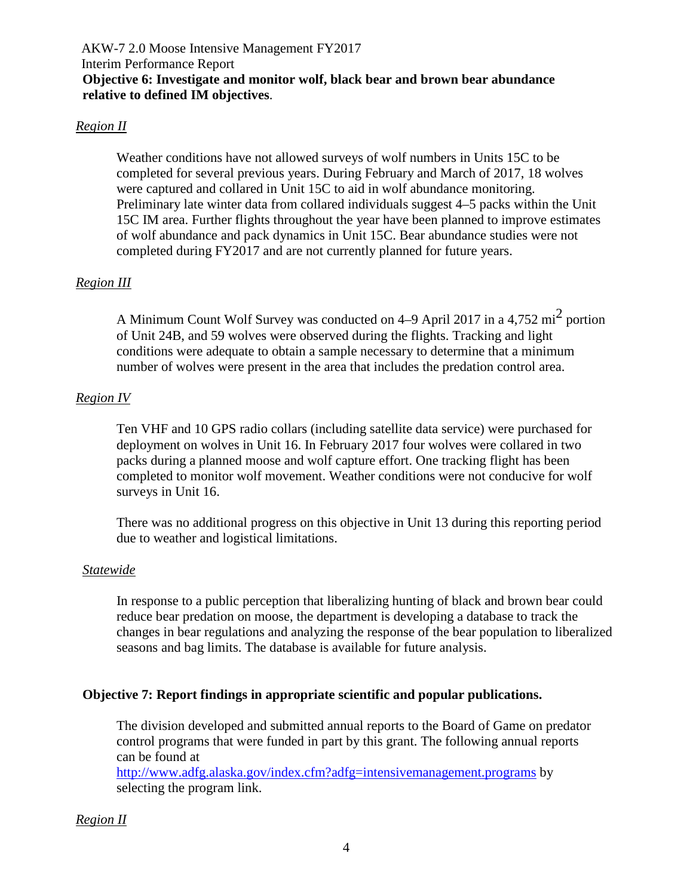## *Region II*

Weather conditions have not allowed surveys of wolf numbers in Units 15C to be completed for several previous years. During February and March of 2017, 18 wolves were captured and collared in Unit 15C to aid in wolf abundance monitoring. Preliminary late winter data from collared individuals suggest 4–5 packs within the Unit 15C IM area. Further flights throughout the year have been planned to improve estimates of wolf abundance and pack dynamics in Unit 15C. Bear abundance studies were not completed during FY2017 and are not currently planned for future years.

## *Region III*

A Minimum Count Wolf Survey was conducted on 4–9 April 2017 in a 4,752 mi<sup>2</sup> portion of Unit 24B, and 59 wolves were observed during the flights. Tracking and light conditions were adequate to obtain a sample necessary to determine that a minimum number of wolves were present in the area that includes the predation control area.

## *Region IV*

Ten VHF and 10 GPS radio collars (including satellite data service) were purchased for deployment on wolves in Unit 16. In February 2017 four wolves were collared in two packs during a planned moose and wolf capture effort. One tracking flight has been completed to monitor wolf movement. Weather conditions were not conducive for wolf surveys in Unit 16.

There was no additional progress on this objective in Unit 13 during this reporting period due to weather and logistical limitations.

## *Statewide*

In response to a public perception that liberalizing hunting of black and brown bear could reduce bear predation on moose, the department is developing a database to track the changes in bear regulations and analyzing the response of the bear population to liberalized seasons and bag limits. The database is available for future analysis.

## **Objective 7: Report findings in appropriate scientific and popular publications.**

The division developed and submitted annual reports to the Board of Game on predator control programs that were funded in part by this grant. The following annual reports can be found at

<http://www.adfg.alaska.gov/index.cfm?adfg=intensivemanagement.programs> by selecting the program link.

## *Region II*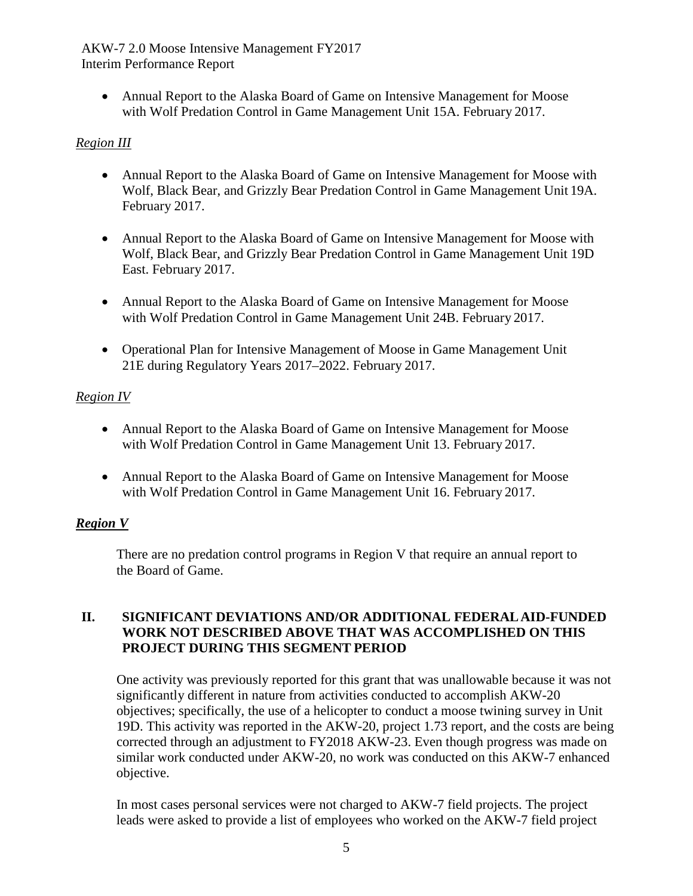AKW-7 2.0 Moose Intensive Management FY2017 Interim Performance Report

• Annual Report to the Alaska Board of Game on Intensive Management for Moose with Wolf Predation Control in Game Management Unit 15A. February 2017.

# *Region III*

- Annual Report to the Alaska Board of Game on Intensive Management for Moose with Wolf, Black Bear, and Grizzly Bear Predation Control in Game Management Unit 19A. February 2017.
- Annual Report to the Alaska Board of Game on Intensive Management for Moose with Wolf, Black Bear, and Grizzly Bear Predation Control in Game Management Unit 19D East. February 2017.
- Annual Report to the Alaska Board of Game on Intensive Management for Moose with Wolf Predation Control in Game Management Unit 24B. February 2017.
- Operational Plan for Intensive Management of Moose in Game Management Unit 21E during Regulatory Years 2017–2022. February 2017.

## *Region IV*

- Annual Report to the Alaska Board of Game on Intensive Management for Moose with Wolf Predation Control in Game Management Unit 13. February 2017.
- Annual Report to the Alaska Board of Game on Intensive Management for Moose with Wolf Predation Control in Game Management Unit 16. February 2017.

## *Region V*

There are no predation control programs in Region V that require an annual report to the Board of Game.

#### **II. SIGNIFICANT DEVIATIONS AND/OR ADDITIONAL FEDERALAID-FUNDED WORK NOT DESCRIBED ABOVE THAT WAS ACCOMPLISHED ON THIS PROJECT DURING THIS SEGMENT PERIOD**

One activity was previously reported for this grant that was unallowable because it was not significantly different in nature from activities conducted to accomplish AKW-20 objectives; specifically, the use of a helicopter to conduct a moose twining survey in Unit 19D. This activity was reported in the AKW-20, project 1.73 report, and the costs are being corrected through an adjustment to FY2018 AKW-23. Even though progress was made on similar work conducted under AKW-20, no work was conducted on this AKW-7 enhanced objective.

In most cases personal services were not charged to AKW-7 field projects. The project leads were asked to provide a list of employees who worked on the AKW-7 field project